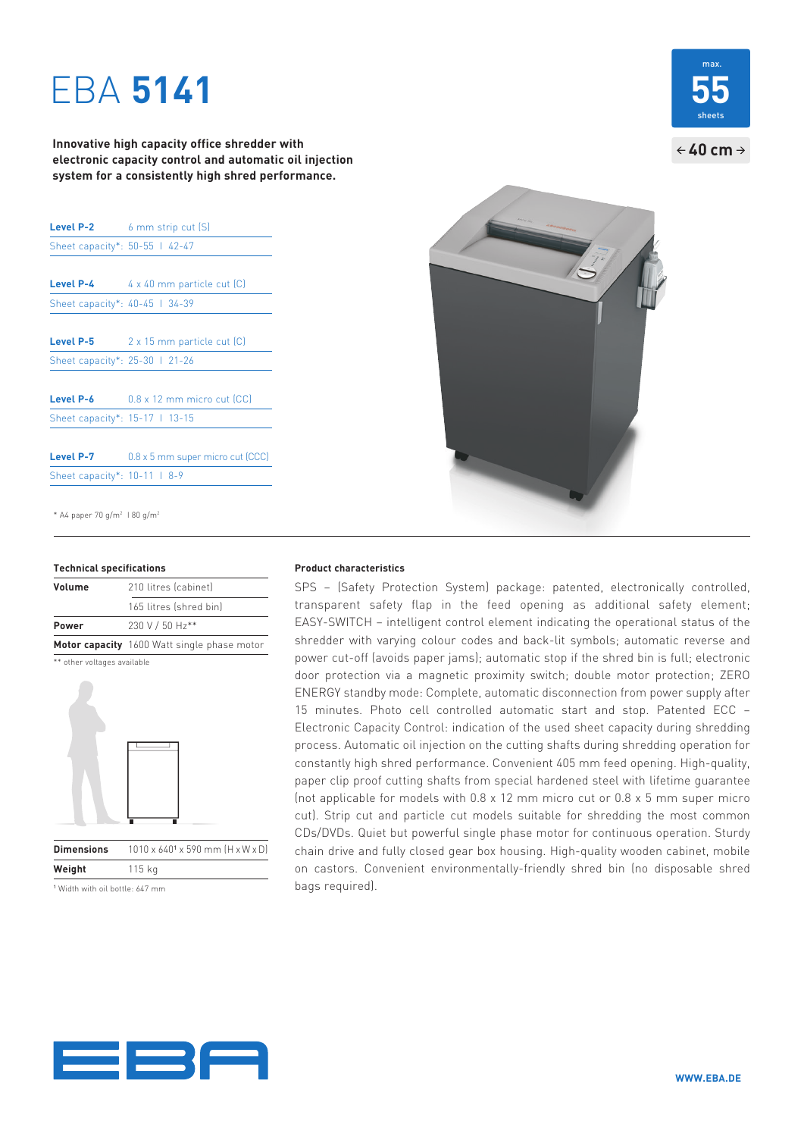# EBA **5141**

**Innovative high capacity office shredder with electronic capacity control and automatic oil injection system for a consistently high shred performance.**

|                                | <b>Level P-2</b> 6 mm strip cut $(S)$ |
|--------------------------------|---------------------------------------|
| Sheet capacity*: 50-55   42-47 |                                       |
|                                |                                       |
| Level P-4                      | 4 x 40 mm particle cut [C]            |
| Sheet capacity*: 40-45   34-39 |                                       |
|                                |                                       |
| Level P-5                      | 2 x 15 mm particle cut [C]            |
| Sheet capacity*: 25-30 1 21-26 |                                       |
|                                |                                       |
| Level P-6                      | $0.8 \times 12$ mm micro cut (CC)     |
| Sheet capacity*: 15-17   13-15 |                                       |
|                                |                                       |
| Level P-7                      | 0.8 x 5 mm super micro cut (CCC)      |
| Sheet capacity*: 10-11   8-9   |                                       |
|                                |                                       |

\* A4 paper 70 g/m2 I 80 g/m2

| Volume | 210 litres (cabinet)                        |
|--------|---------------------------------------------|
|        | 165 litres (shred bin)                      |
| Power  | 230 V / 50 Hz**                             |
|        | Motor capacity 1600 Watt single phase motor |
|        |                                             |





**Dimensions**  x 590 mm (H x W x D) **Weight** 115 kg

1 Width with oil bottle: 647 mm



SPS – (Safety Protection System) package: patented, electronically controlled, transparent safety flap in the feed opening as additional safety element; EASY-SWITCH – intelligent control element indicating the operational status of the shredder with varying colour codes and back-lit symbols; automatic reverse and power cut-off (avoids paper jams); automatic stop if the shred bin is full; electronic door protection via a magnetic proximity switch; double motor protection; ZERO ENERGY standby mode: Complete, automatic disconnection from power supply after 15 minutes. Photo cell controlled automatic start and stop. Patented ECC – Electronic Capacity Control: indication of the used sheet capacity during shredding process. Automatic oil injection on the cutting shafts during shredding operation for constantly high shred performance. Convenient 405 mm feed opening. High-quality, paper clip proof cutting shafts from special hardened steel with lifetime guarantee (not applicable for models with 0.8 x 12 mm micro cut or 0.8 x 5 mm super micro cut). Strip cut and particle cut models suitable for shredding the most common CDs/DVDs. Quiet but powerful single phase motor for continuous operation. Sturdy chain drive and fully closed gear box housing. High- quality wooden cabinet, mobile on castors. Convenient environmentally-friendly shred bin (no disposable shred bags required).